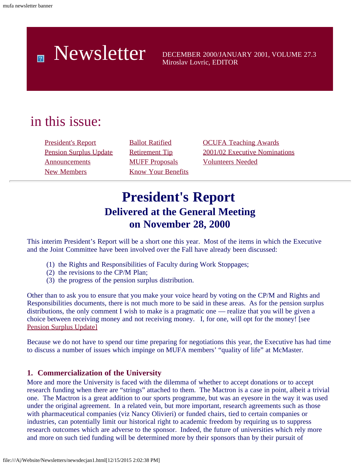# Newsletter DECEMBER 2000/JANUARY 2001, VOLUME 27.3

Miroslav Lovric, EDITOR

### in this issue:

[Announcements](#page-3-0) [MUFF Proposals](#page-4-2) [Volunteers Needed](#page-6-1) [New Members](#page-3-1) [Know Your Benefits](#page-5-1)

[President's Report](#page-0-0) [Ballot Ratified](#page-4-0) [OCUFA Teaching Awards](#page-5-0) [Pension Surplus Update](#page-2-0) [Retirement Tip](#page-4-1) [2001/02 Executive Nominations](#page-6-0)

### **President's Report Delivered at the General Meeting on November 28, 2000**

<span id="page-0-0"></span>This interim President's Report will be a short one this year. Most of the items in which the Executive and the Joint Committee have been involved over the Fall have already been discussed:

- (1) the Rights and Responsibilities of Faculty during Work Stoppages;
- (2) the revisions to the CP/M Plan;
- (3) the progress of the pension surplus distribution.

Other than to ask you to ensure that you make your voice heard by voting on the CP/M and Rights and Responsibilities documents, there is not much more to be said in these areas. As for the pension surplus distributions, the only comment I wish to make is a pragmatic one — realize that you will be given a choice between receiving money and not receiving money. I, for one, will opt for the money! [see [Pension Surplus Update\]](#page-2-0)

Because we do not have to spend our time preparing for negotiations this year, the Executive has had time to discuss a number of issues which impinge on MUFA members' "quality of life" at McMaster.

#### **1. Commercialization of the University**

More and more the University is faced with the dilemma of whether to accept donations or to accept research funding when there are "strings" attached to them. The Mactron is a case in point, albeit a trivial one. The Mactron is a great addition to our sports programme, but was an eyesore in the way it was used under the original agreement. In a related vein, but more important, research agreements such as those with pharmaceutical companies (viz Nancy Olivieri) or funded chairs, tied to certain companies or industries, can potentially limit our historical right to academic freedom by requiring us to suppress research outcomes which are adverse to the sponsor. Indeed, the future of universities which rely more and more on such tied funding will be determined more by their sponsors than by their pursuit of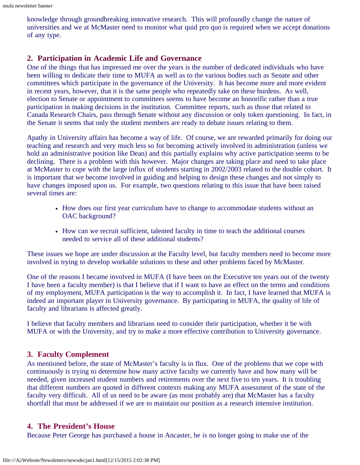knowledge through groundbreaking innovative research. This will profoundly change the nature of universities and we at McMaster need to monitor what quid pro quo is required when we accept donations of any type.

#### **2. Participation in Academic Life and Governance**

One of the things that has impressed me over the years is the number of dedicated individuals who have been willing to dedicate their time to MUFA as well as to the various bodies such as Senate and other committees which participate in the governance of the University. It has become more and more evident in recent years, however, that it is the same people who repeatedly take on these burdens. As well, election to Senate or appointment to committees seems to have become an honorific rather than a true participation in making decisions in the institution. Committee reports, such as those that related to Canada Research Chairs, pass through Senate without any discussion or only token questioning. In fact, in the Senate it seems that only the student members are ready to debate issues relating to them.

Apathy in University affairs has become a way of life. Of course, we are rewarded primarily for doing our teaching and research and very much less so for becoming actively involved in administration (unless we hold an administrative position like Dean) and this partially explains why active participation seems to be declining. There is a problem with this however. Major changes are taking place and need to take place at McMaster to cope with the large influx of students starting in 2002/2003 related to the double cohort. It is important that we become involved in guiding and helping to design these changes and not simply to have changes imposed upon us. For example, two questions relating to this issue that have been raised several times are:

- How does our first year curriculum have to change to accommodate students without an OAC background?
- How can we recruit sufficient, talented faculty in time to teach the additional courses needed to service all of these additional students?

These issues we hope are under discussion at the Faculty level, but faculty members need to become more involved in trying to develop workable solutions to these and other problems faced by McMaster.

One of the reasons I became involved in MUFA (I have been on the Executive ten years out of the twenty I have been a faculty member) is that I believe that if I want to have an effect on the terms and conditions of my employment, MUFA participation is the way to accomplish it. In fact, I have learned that MUFA is indeed an important player in University governance. By participating in MUFA, the quality of life of faculty and librarians is affected greatly.

I believe that faculty members and librarians need to consider their participation, whether it be with MUFA or with the University, and try to make a more effective contribution to University governance.

#### **3. Faculty Complement**

As mentioned before, the state of McMaster's faculty is in flux. One of the problems that we cope with continuously is trying to determine how many active faculty we currently have and how many will be needed, given increased student numbers and retirements over the next five to ten years. It is troubling that different numbers are quoted in different contexts making any MUFA assessment of the state of the faculty very difficult. All of us need to be aware (as most probably are) that McMaster has a faculty shortfall that must be addressed if we are to maintain our position as a research intensive institution.

#### **4. The President's House**

Because Peter George has purchased a house in Ancaster, he is no longer going to make use of the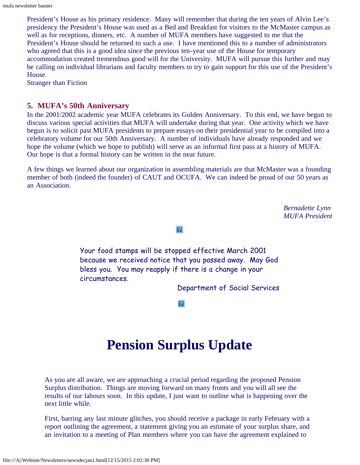President's House as his primary residence. Many will remember that during the ten years of Alvin Lee's presidency the President's House was used as a Bed and Breakfast for visitors to the McMaster campus as well as for receptions, dinners, etc. A number of MUFA members have suggested to me that the President's House should be returned to such a use. I have mentioned this to a number of administrators who agreed that this is a good idea since the previous ten-year use of the House for temporary accommodation created tremendous good will for the University. MUFA will pursue this further and may be calling on individual librarians and faculty members to try to gain support for this use of the President's House.

Stranger than Fiction

#### **5. MUFA's 50th Anniversary**

In the 2001/2002 academic year MUFA celebrates its Golden Anniversary. To this end, we have begun to discuss various special activities that MUFA will undertake during that year. One activity which we have begun is to solicit past MUFA presidents to prepare essays on their presidential year to be compiled into a celebratory volume for our 50th Anniversary. A number of individuals have already responded and we hope the volume (which we hope to publish) will serve as an informal first pass at a history of MUFA. Our hope is that a formal history can be written in the near future.

A few things we learned about our organization in assembling materials are that McMaster was a founding member of both (indeed the founder) of CAUT and OCUFA. We can indeed be proud of our 50 years as an Association.

> *Bernadette Lynn MUFA President*

 $\vert 2 \vert$ 

Your food stamps will be stopped effective March 2001 because we received notice that you passed away. May God bless you. You may reapply if there is a change in your circumstances.

Department of Social Services

 $|2\rangle$ 

### **Pension Surplus Update**

<span id="page-2-0"></span>As you are all aware, we are approaching a crucial period regarding the proposed Pension Surplus distribution. Things are moving forward on many fronts and you will all see the results of our labours soon. In this update, I just want to outline what is happening over the next little while.

First, barring any last minute glitches, you should receive a package in early February with a report outlining the agreement, a statement giving you an estimate of your surplus share, and an invitation to a meeting of Plan members where you can have the agreement explained to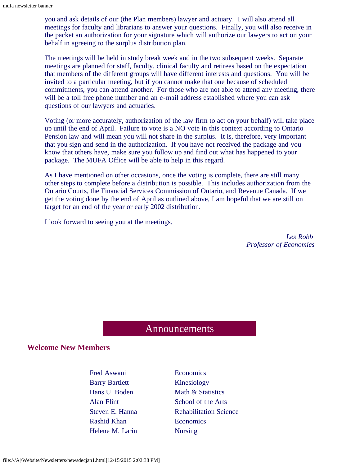you and ask details of our (the Plan members) lawyer and actuary. I will also attend all meetings for faculty and librarians to answer your questions. Finally, you will also receive in the packet an authorization for your signature which will authorize our lawyers to act on your behalf in agreeing to the surplus distribution plan.

The meetings will be held in study break week and in the two subsequent weeks. Separate meetings are planned for staff, faculty, clinical faculty and retirees based on the expectation that members of the different groups will have different interests and questions. You will be invited to a particular meeting, but if you cannot make that one because of scheduled commitments, you can attend another. For those who are not able to attend any meeting, there will be a toll free phone number and an e-mail address established where you can ask questions of our lawyers and actuaries.

Voting (or more accurately, authorization of the law firm to act on your behalf) will take place up until the end of April. Failure to vote is a NO vote in this context according to Ontario Pension law and will mean you will not share in the surplus. It is, therefore, very important that you sign and send in the authorization. If you have not received the package and you know that others have, make sure you follow up and find out what has happened to your package. The MUFA Office will be able to help in this regard.

As I have mentioned on other occasions, once the voting is complete, there are still many other steps to complete before a distribution is possible. This includes authorization from the Ontario Courts, the Financial Services Commission of Ontario, and Revenue Canada. If we get the voting done by the end of April as outlined above, I am hopeful that we are still on target for an end of the year or early 2002 distribution.

I look forward to seeing you at the meetings.

*Les Robb Professor of Economics*

#### Announcements

#### <span id="page-3-1"></span><span id="page-3-0"></span>**Welcome New Members**

Fred Aswani Economics Barry Bartlett Kinesiology Rashid Khan Economics Helene M. Larin Nursing

Hans U. Boden Math & Statistics Alan Flint School of the Arts Steven E. Hanna Rehabilitation Science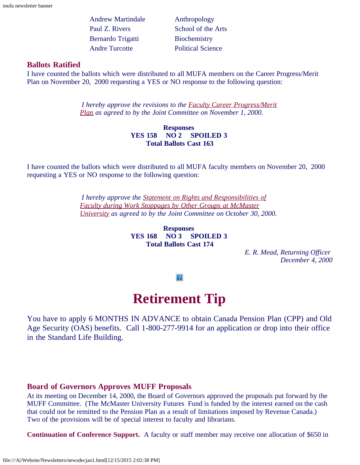Andrew Martindale Anthropology Paul Z. Rivers School of the Arts Bernardo Trigatti Biochemistry Andre Turcotte Political Science

#### <span id="page-4-0"></span>**Ballots Ratified**

I have counted the ballots which were distributed to all MUFA members on the Career Progress/Merit Plan on November 20, 2000 requesting a YES or NO response to the following question:

> *I hereby approve the revisions to the [Faculty Career Progress/Merit](file:///A|/Website/Newsletters/handbook/cpm.htm) [Plan](file:///A|/Website/Newsletters/handbook/cpm.htm) as agreed to by the Joint Committee on November 1, 2000.*

#### **Responses YES 158 NO 2 SPOILED 3 Total Ballots Cast 163**

I have counted the ballots which were distributed to all MUFA faculty members on November 20, 2000 requesting a YES or NO response to the following question:

> *I hereby approve the [Statement on Rights and Responsibilities of](file:///A|/Website/Newsletters/handbook/workstop.html) [Faculty during Work Stoppages by Other Groups at McMaster](file:///A|/Website/Newsletters/handbook/workstop.html) [University](file:///A|/Website/Newsletters/handbook/workstop.html) as agreed to by the Joint Committee on October 30, 2000.*

> > **Responses YES 168 NO 3 SPOILED 3 Total Ballots Cast 174**

> > > *E. R. Mead, Returning Officer December 4, 2000*

 $|2|$ 

### **Retirement Tip**

<span id="page-4-1"></span>You have to apply 6 MONTHS IN ADVANCE to obtain Canada Pension Plan (CPP) and Old Age Security (OAS) benefits. Call 1-800-277-9914 for an application or drop into their office in the Standard Life Building.

#### <span id="page-4-2"></span>**Board of Governors Approves MUFF Proposals**

At its meeting on December 14, 2000, the Board of Governors approved the proposals put forward by the MUFF Committee. (The McMaster University Futures Fund is funded by the interest earned on the cash that could not be remitted to the Pension Plan as a result of limitations imposed by Revenue Canada.) Two of the provisions will be of special interest to faculty and librarians.

**Continuation of Conference Support.** A faculty or staff member may receive one allocation of \$650 in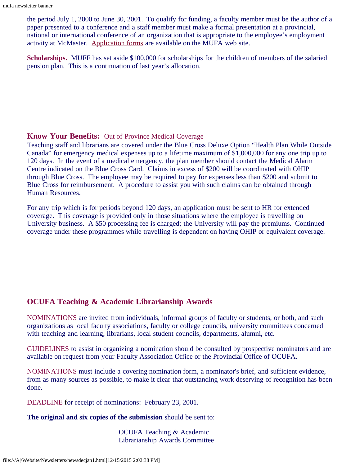the period July 1, 2000 to June 30, 2001. To qualify for funding, a faculty member must be the author of a paper presented to a conference and a staff member must make a formal presentation at a provincial, national or international conference of an organization that is appropriate to the employee's employment activity at McMaster. [Application forms](file:///A|/Website/Newsletters/muff.html) are available on the MUFA web site.

**Scholarships.** MUFF has set aside \$100,000 for scholarships for the children of members of the salaried pension plan. This is a continuation of last year's allocation.

#### <span id="page-5-1"></span>**Know Your Benefits:** Out of Province Medical Coverage

Teaching staff and librarians are covered under the Blue Cross Deluxe Option "Health Plan While Outside Canada" for emergency medical expenses up to a lifetime maximum of \$1,000,000 for any one trip up to 120 days. In the event of a medical emergency, the plan member should contact the Medical Alarm Centre indicated on the Blue Cross Card. Claims in excess of \$200 will be coordinated with OHIP through Blue Cross. The employee may be required to pay for expenses less than \$200 and submit to Blue Cross for reimbursement. A procedure to assist you with such claims can be obtained through Human Resources.

For any trip which is for periods beyond 120 days, an application must be sent to HR for extended coverage. This coverage is provided only in those situations where the employee is travelling on University business. A \$50 processing fee is charged; the University will pay the premiums. Continued coverage under these programmes while travelling is dependent on having OHIP or equivalent coverage.

#### <span id="page-5-0"></span>**OCUFA Teaching & Academic Librarianship Awards**

NOMINATIONS are invited from individuals, informal groups of faculty or students, or both, and such organizations as local faculty associations, faculty or college councils, university committees concerned with teaching and learning, librarians, local student councils, departments, alumni, etc.

GUIDELINES to assist in organizing a nomination should be consulted by prospective nominators and are available on request from your Faculty Association Office or the Provincial Office of OCUFA.

NOMINATIONS must include a covering nomination form, a nominator's brief, and sufficient evidence, from as many sources as possible, to make it clear that outstanding work deserving of recognition has been done.

DEADLINE for receipt of nominations: February 23, 2001.

**The original and six copies of the submission** should be sent to:

 OCUFA Teaching & Academic Librarianship Awards Committee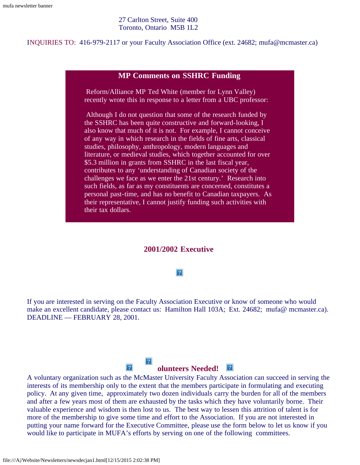#### 27 Carlton Street, Suite 400 Toronto, Ontario M5B 1L2

#### INQUIRIES TO: 416-979-2117 or your Faculty Association Office (ext. 24682; mufa@mcmaster.ca)

#### **MP Comments on SSHRC Funding**

Reform/Alliance MP Ted White (member for Lynn Valley) recently wrote this in response to a letter from a UBC professor:

Although I do not question that some of the research funded by the SSHRC has been quite constructive and forward-looking, I also know that much of it is not. For example, I cannot conceive of any way in which research in the fields of fine arts, classical studies, philosophy, anthropology, modern languages and literature, or medieval studies, which together accounted for over \$5.3 million in grants from SSHRC in the last fiscal year, contributes to any 'understanding of Canadian society of the challenges we face as we enter the 21st century.' Research into such fields, as far as my constituents are concerned, constitutes a personal past-time, and has no benefit to Canadian taxpayers. As their representative, I cannot justify funding such activities with their tax dollars.

#### **2001/2002 Executive**

#### $|2|$

<span id="page-6-0"></span>If you are interested in serving on the Faculty Association Executive or know of someone who would make an excellent candidate, please contact us: Hamilton Hall 103A; Ext. 24682; mufa@ mcmaster.ca). DEADLINE — FEBRUARY 28, 2001.

## **olunteers Needed!**

<span id="page-6-1"></span>A voluntary organization such as the McMaster University Faculty Association can succeed in serving the interests of its membership only to the extent that the members participate in formulating and executing policy. At any given time, approximately two dozen individuals carry the burden for all of the members and after a few years most of them are exhausted by the tasks which they have voluntarily borne. Their valuable experience and wisdom is then lost to us. The best way to lessen this attrition of talent is for more of the membership to give some time and effort to the Association. If you are not interested in putting your name forward for the Executive Committee, please use the form below to let us know if you would like to participate in MUFA's efforts by serving on one of the following committees.